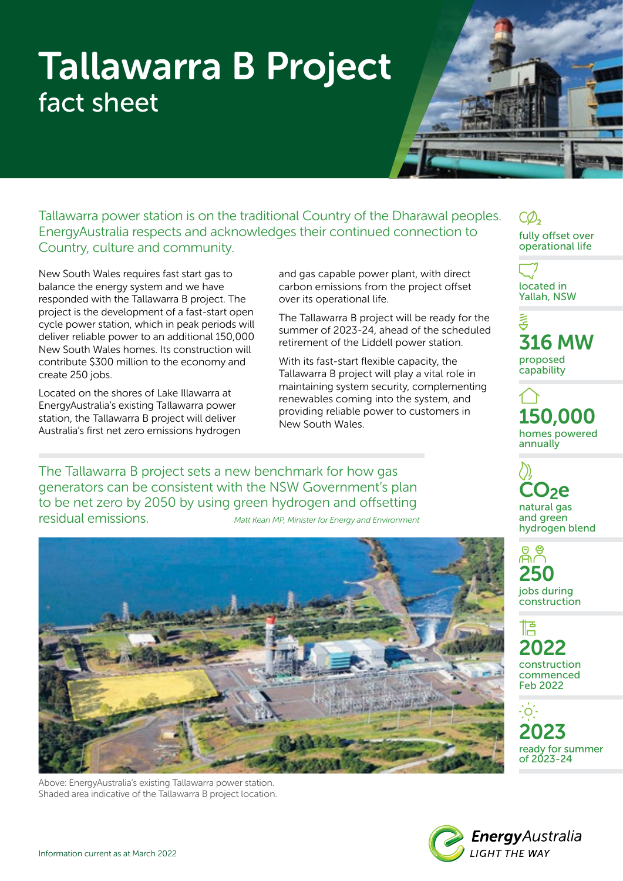# Tallawarra B Project fact sheet

Tallawarra power station is on the traditional Country of the Dharawal peoples. EnergyAustralia respects and acknowledges their continued connection to Country, culture and community.

New South Wales requires fast start gas to balance the energy system and we have responded with the Tallawarra B project. The project is the development of a fast-start open cycle power station, which in peak periods will deliver reliable power to an additional 150,000 New South Wales homes. Its construction will contribute \$300 million to the economy and create 250 jobs.

Located on the shores of Lake Illawarra at EnergyAustralia's existing Tallawarra power station, the Tallawarra B project will deliver Australia's first net zero emissions hydrogen and gas capable power plant, with direct carbon emissions from the project offset over its operational life.

The Tallawarra B project will be ready for the summer of 2023-24, ahead of the scheduled retirement of the Liddell power station.

With its fast-start flexible capacity, the Tallawarra B project will play a vital role in maintaining system security, complementing renewables coming into the system, and providing reliable power to customers in New South Wales.

The Tallawarra B project sets a new benchmark for how gas generators can be consistent with the NSW Government's plan to be net zero by 2050 by using green hydrogen and offsetting residual emissions. *Matt Kean MP, Minister for Energy and Environment*



Above: EnergyAustralia's existing Tallawarra power station. Shaded area indicative of the Tallawarra B project location. fully offset over operational life

located in Yallah, NSW

。<br>石 316 MW proposed capability

150,000 homes powered annually

De natural gas and green hydrogen blend

250 jobs during construction

悟 2022 construction commenced Feb 2022

 $\cdot$  O  $\cdot$ 2023 ready for summer of 2023-24